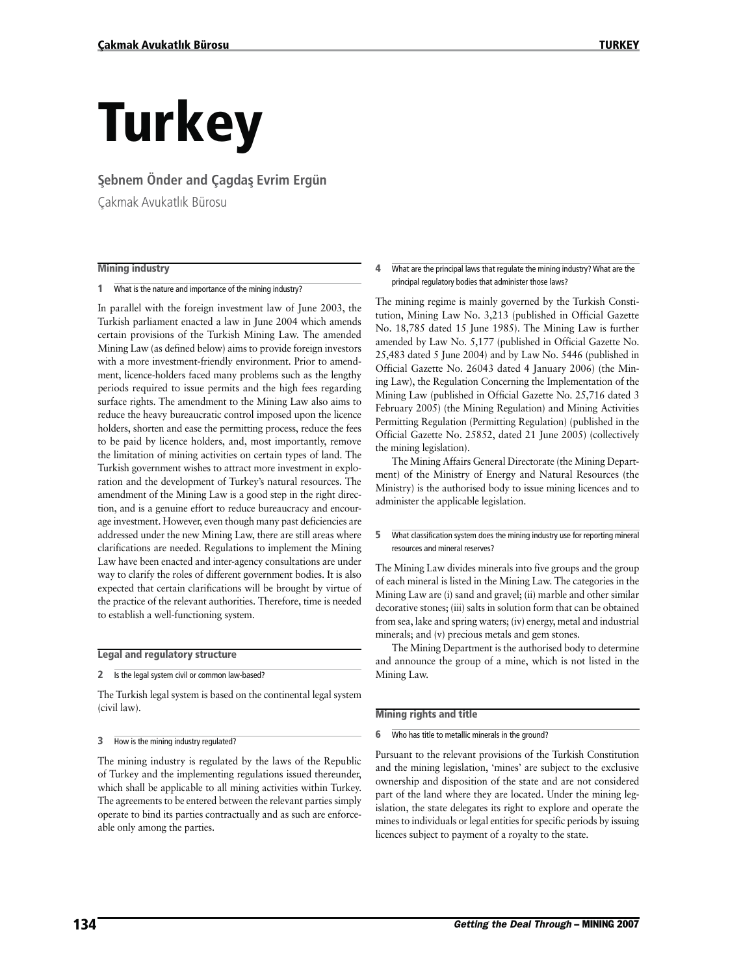# **Turkey**

#### **S¸ebnem Önder and Çagdas¸ Evrim Ergün**

Çakmak Avukatlık Bürosu

#### **Mining industry**

**1** What is the nature and importance of the mining industry?

In parallel with the foreign investment law of June 2003, the Turkish parliament enacted a law in June 2004 which amends certain provisions of the Turkish Mining Law. The amended Mining Law (as defined below) aims to provide foreign investors with a more investment-friendly environment. Prior to amendment, licence-holders faced many problems such as the lengthy periods required to issue permits and the high fees regarding surface rights. The amendment to the Mining Law also aims to reduce the heavy bureaucratic control imposed upon the licence holders, shorten and ease the permitting process, reduce the fees to be paid by licence holders, and, most importantly, remove the limitation of mining activities on certain types of land. The Turkish government wishes to attract more investment in exploration and the development of Turkey's natural resources. The amendment of the Mining Law is a good step in the right direction, and is a genuine effort to reduce bureaucracy and encourage investment. However, even though many past deficiencies are addressed under the new Mining Law, there are still areas where clarifications are needed. Regulations to implement the Mining Law have been enacted and inter-agency consultations are under way to clarify the roles of different government bodies. It is also expected that certain clarifications will be brought by virtue of the practice of the relevant authorities. Therefore, time is needed to establish a well-functioning system.

#### **Legal and regulatory structure**

**2** Is the legal system civil or common law-based?

The Turkish legal system is based on the continental legal system (civil law).

#### **3** How is the mining industry regulated?

The mining industry is regulated by the laws of the Republic of Turkey and the implementing regulations issued thereunder, which shall be applicable to all mining activities within Turkey. The agreements to be entered between the relevant parties simply operate to bind its parties contractually and as such are enforceable only among the parties.

#### **4** What are the principal laws that regulate the mining industry? What are the principal regulatory bodies that administer those laws?

The mining regime is mainly governed by the Turkish Constitution, Mining Law No. 3,213 (published in Official Gazette No. 18,785 dated 15 June 1985). The Mining Law is further amended by Law No. 5,177 (published in Official Gazette No. 25,483 dated 5 June 2004) and by Law No. 5446 (published in Official Gazette No. 26043 dated 4 January 2006) (the Mining Law), the Regulation Concerning the Implementation of the Mining Law (published in Official Gazette No. 25,716 dated 3 February 2005) (the Mining Regulation) and Mining Activities Permitting Regulation (Permitting Regulation) (published in the Official Gazette No. 25852, dated 21 June 2005) (collectively the mining legislation).

The Mining Affairs General Directorate (the Mining Department) of the Ministry of Energy and Natural Resources (the Ministry) is the authorised body to issue mining licences and to administer the applicable legislation.

#### **5** What classification system does the mining industry use for reporting mineral resources and mineral reserves?

The Mining Law divides minerals into five groups and the group of each mineral is listed in the Mining Law. The categories in the Mining Law are (i) sand and gravel; (ii) marble and other similar decorative stones; (iii) salts in solution form that can be obtained from sea, lake and spring waters; (iv) energy, metal and industrial minerals; and (v) precious metals and gem stones.

The Mining Department is the authorised body to determine and announce the group of a mine, which is not listed in the Mining Law.

#### **Mining rights and title**

**6** Who has title to metallic minerals in the ground?

Pursuant to the relevant provisions of the Turkish Constitution and the mining legislation, 'mines' are subject to the exclusive ownership and disposition of the state and are not considered part of the land where they are located. Under the mining legislation, the state delegates its right to explore and operate the mines to individuals or legal entities for specific periods by issuing licences subject to payment of a royalty to the state.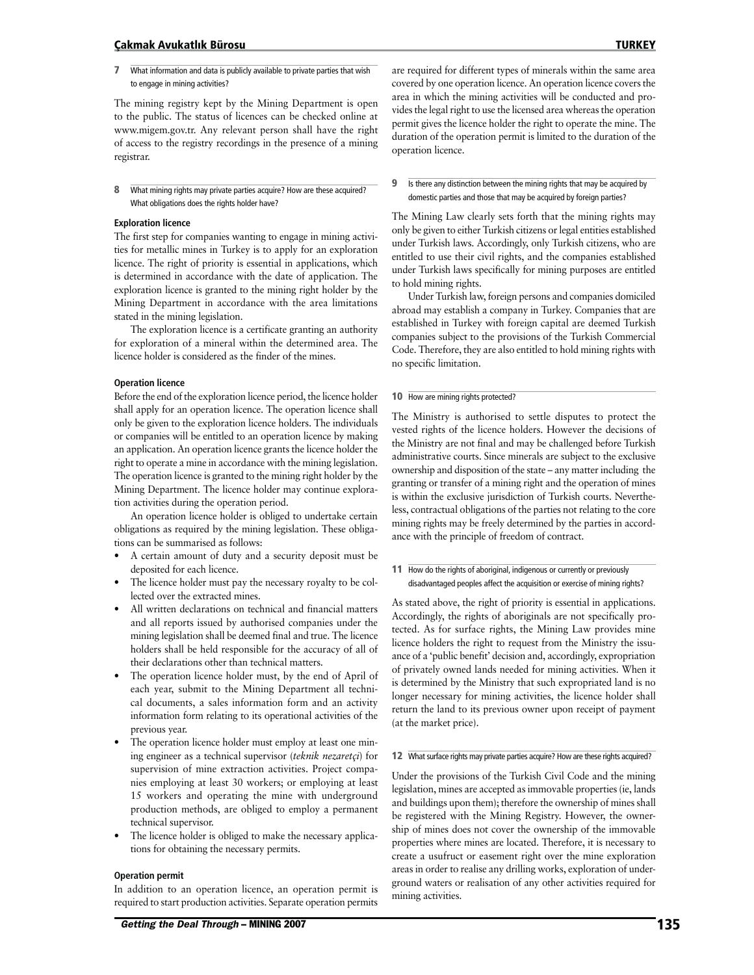#### **Çakmak Avukatlık Bürosu TURKEY**

**7** What information and data is publicly available to private parties that wish to engage in mining activities?

The mining registry kept by the Mining Department is open to the public. The status of licences can be checked online at www.migem.gov.tr. Any relevant person shall have the right of access to the registry recordings in the presence of a mining registrar.

**8** What mining rights may private parties acquire? How are these acquired? What obligations does the rights holder have?

#### **Exploration licence**

The first step for companies wanting to engage in mining activities for metallic mines in Turkey is to apply for an exploration licence. The right of priority is essential in applications, which is determined in accordance with the date of application. The exploration licence is granted to the mining right holder by the Mining Department in accordance with the area limitations stated in the mining legislation.

The exploration licence is a certificate granting an authority for exploration of a mineral within the determined area. The licence holder is considered as the finder of the mines.

#### **Operation licence**

Before the end of the exploration licence period, the licence holder shall apply for an operation licence. The operation licence shall only be given to the exploration licence holders. The individuals or companies will be entitled to an operation licence by making an application. An operation licence grants the licence holder the right to operate a mine in accordance with the mining legislation. The operation licence is granted to the mining right holder by the Mining Department. The licence holder may continue exploration activities during the operation period.

An operation licence holder is obliged to undertake certain obligations as required by the mining legislation. These obligations can be summarised as follows:

- A certain amount of duty and a security deposit must be deposited for each licence.
- The licence holder must pay the necessary royalty to be collected over the extracted mines.
- All written declarations on technical and financial matters and all reports issued by authorised companies under the mining legislation shall be deemed final and true. The licence holders shall be held responsible for the accuracy of all of their declarations other than technical matters.
- The operation licence holder must, by the end of April of each year, submit to the Mining Department all technical documents, a sales information form and an activity information form relating to its operational activities of the previous year.
- The operation licence holder must employ at least one mining engineer as a technical supervisor (*teknik nezaretçi*) for supervision of mine extraction activities. Project companies employing at least 30 workers; or employing at least 15 workers and operating the mine with underground production methods, are obliged to employ a permanent technical supervisor.
- The licence holder is obliged to make the necessary applications for obtaining the necessary permits.

#### **Operation permit**

In addition to an operation licence, an operation permit is required to start production activities. Separate operation permits

Getting the Deal Through – MINING 2007 **135** 

are required for different types of minerals within the same area covered by one operation licence. An operation licence covers the area in which the mining activities will be conducted and provides the legal right to use the licensed area whereas the operation permit gives the licence holder the right to operate the mine. The duration of the operation permit is limited to the duration of the operation licence.

#### **9** Is there any distinction between the mining rights that may be acquired by domestic parties and those that may be acquired by foreign parties?

The Mining Law clearly sets forth that the mining rights may only be given to either Turkish citizens or legal entities established under Turkish laws. Accordingly, only Turkish citizens, who are entitled to use their civil rights, and the companies established under Turkish laws specifically for mining purposes are entitled to hold mining rights.

Under Turkish law, foreign persons and companies domiciled abroad may establish a company in Turkey. Companies that are established in Turkey with foreign capital are deemed Turkish companies subject to the provisions of the Turkish Commercial Code. Therefore, they are also entitled to hold mining rights with no specific limitation.

#### **10** How are mining rights protected?

The Ministry is authorised to settle disputes to protect the vested rights of the licence holders. However the decisions of the Ministry are not final and may be challenged before Turkish administrative courts. Since minerals are subject to the exclusive ownership and disposition of the state – any matter including the granting or transfer of a mining right and the operation of mines is within the exclusive jurisdiction of Turkish courts. Nevertheless, contractual obligations of the parties not relating to the core mining rights may be freely determined by the parties in accordance with the principle of freedom of contract.

11 How do the rights of aboriginal, indigenous or currently or previously disadvantaged peoples affect the acquisition or exercise of mining rights?

As stated above, the right of priority is essential in applications. Accordingly, the rights of aboriginals are not specifically protected. As for surface rights, the Mining Law provides mine licence holders the right to request from the Ministry the issuance of a 'public benefit' decision and, accordingly, expropriation of privately owned lands needed for mining activities. When it is determined by the Ministry that such expropriated land is no longer necessary for mining activities, the licence holder shall return the land to its previous owner upon receipt of payment (at the market price).

#### **12** What surface rights may private parties acquire? How are these rights acquired?

Under the provisions of the Turkish Civil Code and the mining legislation, mines are accepted as immovable properties (ie, lands and buildings upon them); therefore the ownership of mines shall be registered with the Mining Registry. However, the ownership of mines does not cover the ownership of the immovable properties where mines are located. Therefore, it is necessary to create a usufruct or easement right over the mine exploration areas in order to realise any drilling works, exploration of underground waters or realisation of any other activities required for mining activities.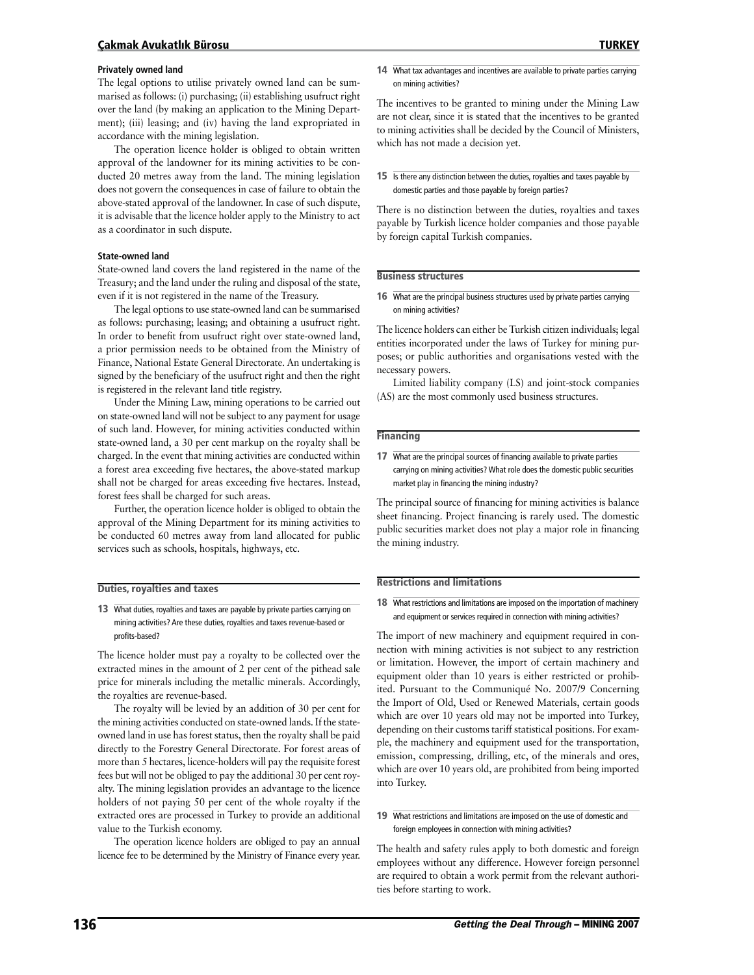#### **Çakmak Avukatlık Bürosu TURKEY**

#### **Privately owned land**

The legal options to utilise privately owned land can be summarised as follows: (i) purchasing; (ii) establishing usufruct right over the land (by making an application to the Mining Department); (iii) leasing; and (iv) having the land expropriated in accordance with the mining legislation.

The operation licence holder is obliged to obtain written approval of the landowner for its mining activities to be conducted 20 metres away from the land. The mining legislation does not govern the consequences in case of failure to obtain the above-stated approval of the landowner. In case of such dispute, it is advisable that the licence holder apply to the Ministry to act as a coordinator in such dispute.

#### **State-owned land**

State-owned land covers the land registered in the name of the Treasury; and the land under the ruling and disposal of the state, even if it is not registered in the name of the Treasury.

The legal options to use state-owned land can be summarised as follows: purchasing; leasing; and obtaining a usufruct right. In order to benefit from usufruct right over state-owned land, a prior permission needs to be obtained from the Ministry of Finance, National Estate General Directorate. An undertaking is signed by the beneficiary of the usufruct right and then the right is registered in the relevant land title registry.

Under the Mining Law, mining operations to be carried out on state-owned land will not be subject to any payment for usage of such land. However, for mining activities conducted within state-owned land, a 30 per cent markup on the royalty shall be charged. In the event that mining activities are conducted within a forest area exceeding five hectares, the above-stated markup shall not be charged for areas exceeding five hectares. Instead, forest fees shall be charged for such areas.

Further, the operation licence holder is obliged to obtain the approval of the Mining Department for its mining activities to be conducted 60 metres away from land allocated for public services such as schools, hospitals, highways, etc.

#### **Duties, royalties and taxes**

**13** What duties, royalties and taxes are payable by private parties carrying on mining activities? Are these duties, royalties and taxes revenue-based or profits-based?

The licence holder must pay a royalty to be collected over the extracted mines in the amount of 2 per cent of the pithead sale price for minerals including the metallic minerals. Accordingly, the royalties are revenue-based.

The royalty will be levied by an addition of 30 per cent for the mining activities conducted on state-owned lands. If the stateowned land in use has forest status, then the royalty shall be paid directly to the Forestry General Directorate. For forest areas of more than 5 hectares, licence-holders will pay the requisite forest fees but will not be obliged to pay the additional 30 per cent royalty. The mining legislation provides an advantage to the licence holders of not paying 50 per cent of the whole royalty if the extracted ores are processed in Turkey to provide an additional value to the Turkish economy.

The operation licence holders are obliged to pay an annual licence fee to be determined by the Ministry of Finance every year. The incentives to be granted to mining under the Mining Law are not clear, since it is stated that the incentives to be granted to mining activities shall be decided by the Council of Ministers, which has not made a decision yet.

**15** Is there any distinction between the duties, royalties and taxes payable by domestic parties and those payable by foreign parties?

There is no distinction between the duties, royalties and taxes payable by Turkish licence holder companies and those payable by foreign capital Turkish companies.

#### **Business structures**

**16** What are the principal business structures used by private parties carrying on mining activities?

The licence holders can either be Turkish citizen individuals; legal entities incorporated under the laws of Turkey for mining purposes; or public authorities and organisations vested with the necessary powers.

Limited liability company (LS) and joint-stock companies (AS) are the most commonly used business structures.

#### **Financing**

**17** What are the principal sources of financing available to private parties carrying on mining activities? What role does the domestic public securities market play in financing the mining industry?

The principal source of financing for mining activities is balance sheet financing. Project financing is rarely used. The domestic public securities market does not play a major role in financing the mining industry.

#### **Restrictions and limitations**

**18** What restrictions and limitations are imposed on the importation of machinery and equipment or services required in connection with mining activities?

The import of new machinery and equipment required in connection with mining activities is not subject to any restriction or limitation. However, the import of certain machinery and equipment older than 10 years is either restricted or prohibited. Pursuant to the Communiqué No. 2007/9 Concerning the Import of Old, Used or Renewed Materials, certain goods which are over 10 years old may not be imported into Turkey, depending on their customs tariff statistical positions. For example, the machinery and equipment used for the transportation, emission, compressing, drilling, etc, of the minerals and ores, which are over 10 years old, are prohibited from being imported into Turkey.

#### **19** What restrictions and limitations are imposed on the use of domestic and foreign employees in connection with mining activities?

The health and safety rules apply to both domestic and foreign employees without any difference. However foreign personnel are required to obtain a work permit from the relevant authorities before starting to work.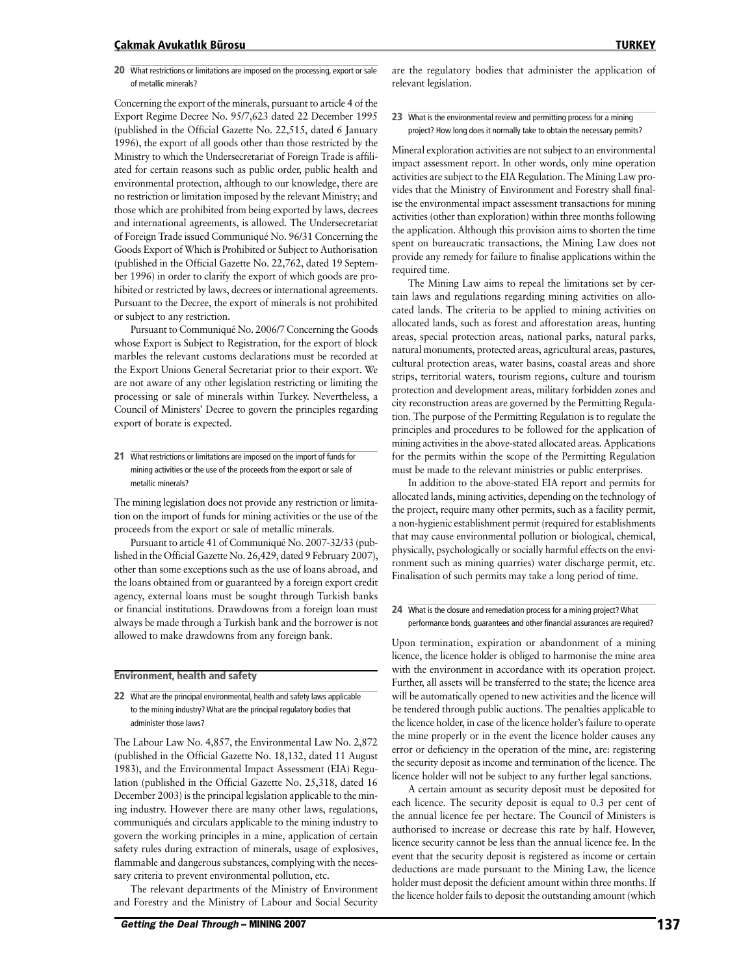#### **Çakmak Avukatlık Bürosu TURKEY**

**20** What restrictions or limitations are imposed on the processing, export or sale of metallic minerals?

Concerning the export of the minerals, pursuant to article 4 of the Export Regime Decree No. 95/7,623 dated 22 December 1995 (published in the Official Gazette No. 22,515, dated 6 January 1996), the export of all goods other than those restricted by the Ministry to which the Undersecretariat of Foreign Trade is affiliated for certain reasons such as public order, public health and environmental protection, although to our knowledge, there are no restriction or limitation imposed by the relevant Ministry; and those which are prohibited from being exported by laws, decrees and international agreements, is allowed. The Undersecretariat of Foreign Trade issued Communiqué No. 96/31 Concerning the Goods Export of Which is Prohibited or Subject to Authorisation (published in the Official Gazette No. 22,762, dated 19 September 1996) in order to clarify the export of which goods are prohibited or restricted by laws, decrees or international agreements. Pursuant to the Decree, the export of minerals is not prohibited or subject to any restriction.

Pursuant to Communiqué No. 2006/7 Concerning the Goods whose Export is Subject to Registration, for the export of block marbles the relevant customs declarations must be recorded at the Export Unions General Secretariat prior to their export. We are not aware of any other legislation restricting or limiting the processing or sale of minerals within Turkey. Nevertheless, a Council of Ministers' Decree to govern the principles regarding export of borate is expected.

**21** What restrictions or limitations are imposed on the import of funds for mining activities or the use of the proceeds from the export or sale of metallic minerals?

The mining legislation does not provide any restriction or limitation on the import of funds for mining activities or the use of the proceeds from the export or sale of metallic minerals.

Pursuant to article 41 of Communiqué No. 2007-32/33 (published in the Official Gazette No. 26,429, dated 9 February 2007), other than some exceptions such as the use of loans abroad, and the loans obtained from or guaranteed by a foreign export credit agency, external loans must be sought through Turkish banks or financial institutions. Drawdowns from a foreign loan must always be made through a Turkish bank and the borrower is not allowed to make drawdowns from any foreign bank.

#### **Environment, health and safety**

**22** What are the principal environmental, health and safety laws applicable to the mining industry? What are the principal regulatory bodies that administer those laws?

The Labour Law No. 4,857, the Environmental Law No. 2,872 (published in the Official Gazette No. 18,132, dated 11 August 1983), and the Environmental Impact Assessment (EIA) Regulation (published in the Official Gazette No. 25,318, dated 16 December 2003) is the principal legislation applicable to the mining industry. However there are many other laws, regulations, communiqués and circulars applicable to the mining industry to govern the working principles in a mine, application of certain safety rules during extraction of minerals, usage of explosives, flammable and dangerous substances, complying with the necessary criteria to prevent environmental pollution, etc.

The relevant departments of the Ministry of Environment and Forestry and the Ministry of Labour and Social Security

are the regulatory bodies that administer the application of relevant legislation.

**23** What is the environmental review and permitting process for a mining project? How long does it normally take to obtain the necessary permits?

Mineral exploration activities are not subject to an environmental impact assessment report. In other words, only mine operation activities are subject to the EIA Regulation. The Mining Law provides that the Ministry of Environment and Forestry shall finalise the environmental impact assessment transactions for mining activities (other than exploration) within three months following the application. Although this provision aims to shorten the time spent on bureaucratic transactions, the Mining Law does not provide any remedy for failure to finalise applications within the required time.

The Mining Law aims to repeal the limitations set by certain laws and regulations regarding mining activities on allocated lands. The criteria to be applied to mining activities on allocated lands, such as forest and afforestation areas, hunting areas, special protection areas, national parks, natural parks, natural monuments, protected areas, agricultural areas, pastures, cultural protection areas, water basins, coastal areas and shore strips, territorial waters, tourism regions, culture and tourism protection and development areas, military forbidden zones and city reconstruction areas are governed by the Permitting Regulation. The purpose of the Permitting Regulation is to regulate the principles and procedures to be followed for the application of mining activities in the above-stated allocated areas. Applications for the permits within the scope of the Permitting Regulation must be made to the relevant ministries or public enterprises.

In addition to the above-stated EIA report and permits for allocated lands, mining activities, depending on the technology of the project, require many other permits, such as a facility permit, a non-hygienic establishment permit (required for establishments that may cause environmental pollution or biological, chemical, physically, psychologically or socially harmful effects on the environment such as mining quarries) water discharge permit, etc. Finalisation of such permits may take a long period of time.

#### **24** What is the closure and remediation process for a mining project? What performance bonds, guarantees and other financial assurances are required?

Upon termination, expiration or abandonment of a mining licence, the licence holder is obliged to harmonise the mine area with the environment in accordance with its operation project. Further, all assets will be transferred to the state; the licence area will be automatically opened to new activities and the licence will be tendered through public auctions. The penalties applicable to the licence holder, in case of the licence holder's failure to operate the mine properly or in the event the licence holder causes any error or deficiency in the operation of the mine, are: registering the security deposit as income and termination of the licence. The licence holder will not be subject to any further legal sanctions.

A certain amount as security deposit must be deposited for each licence. The security deposit is equal to 0.3 per cent of the annual licence fee per hectare. The Council of Ministers is authorised to increase or decrease this rate by half. However, licence security cannot be less than the annual licence fee. In the event that the security deposit is registered as income or certain deductions are made pursuant to the Mining Law, the licence holder must deposit the deficient amount within three months. If the licence holder fails to deposit the outstanding amount (which